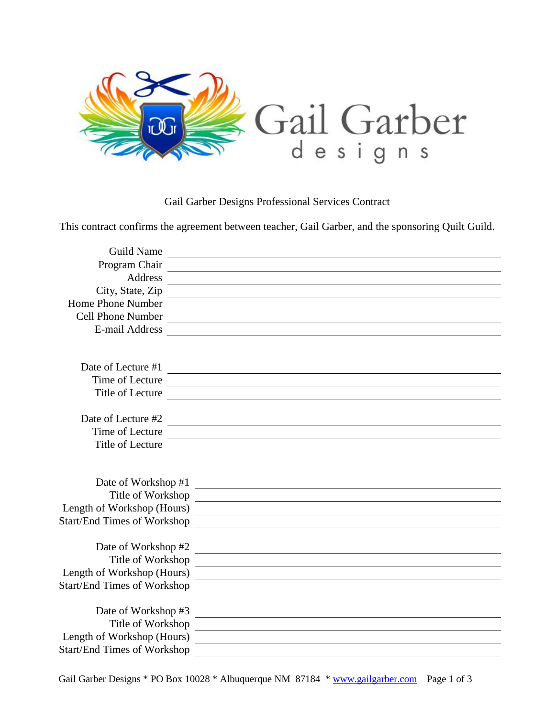

Gail Garber Designs Professional Services Contract

This contract confirms the agreement between teacher, Gail Garber, and the sponsoring Quilt Guild.

| <b>Guild Name</b>                  |                                                                                                                        |
|------------------------------------|------------------------------------------------------------------------------------------------------------------------|
| Program Chair                      | <u> 1980 - Andrea Station Barbara, actor a component de la componentación de la componentación de la componentaci</u>  |
| Address                            |                                                                                                                        |
| City, State, Zip                   |                                                                                                                        |
| Home Phone Number                  |                                                                                                                        |
| <b>Cell Phone Number</b>           | <u> 1989 - Johann Stein, fransk politik (f. 1989)</u>                                                                  |
| E-mail Address                     |                                                                                                                        |
|                                    |                                                                                                                        |
|                                    |                                                                                                                        |
| Date of Lecture #1                 | <u> Alexandria de la contextual de la contextual de la contextual de la contextual de la contextual de la context</u>  |
| Time of Lecture                    | <u> 1989 - Johann Barnett, fransk politiker (d. 1989)</u>                                                              |
| Title of Lecture                   | <u> 1980 - Jan Alexandri, fizikar matematika (h. 1980).</u>                                                            |
|                                    |                                                                                                                        |
| Date of Lecture #2                 |                                                                                                                        |
| Time of Lecture                    | <u> 1980 - Johann Barn, mars ann an t-Amhain Aonaich an t-Aonaich an t-Aonaich an t-Aonaich an t-Aonaich an t-Aon</u>  |
| Title of Lecture                   | <u> 1980 - Jan Samuel Barbara, martin da shekara 1980 - An tsara 1980 - An tsara 1980 - An tsara 1980 - An tsara 1</u> |
|                                    |                                                                                                                        |
|                                    |                                                                                                                        |
| Date of Workshop #1                | <u> Alexandria de la construcción de la construcción de la construcción de la construcción de la construcción de</u>   |
| Title of Workshop                  | <u> 1989 - Johann Stoff, deutscher Stoff, der Stoff, der Stoff, der Stoff, der Stoff, der Stoff, der Stoff, der S</u>  |
|                                    |                                                                                                                        |
| <b>Start/End Times of Workshop</b> | <u> 1989 - Andrea State Barbara, amerikan personal di sebagai personal di sebagai personal di sebagai personal di</u>  |
|                                    |                                                                                                                        |
| Date of Workshop #2                | <u> 1989 - Johann Stoff, fransk politik (d. 1989)</u>                                                                  |
| Title of Workshop                  |                                                                                                                        |
| Length of Workshop (Hours)         | <u> 1989 - Johann Harry Harry Harry Harry Harry Harry Harry Harry Harry Harry Harry Harry Harry Harry Harry Harry</u>  |
| <b>Start/End Times of Workshop</b> | <u> 1980 - Jan Sterling Sterling (d. 1980)</u>                                                                         |
|                                    |                                                                                                                        |
| Date of Workshop #3                |                                                                                                                        |
| Title of Workshop                  | <u> 1989 - Johann John Stein, markin fan it fjort fan de ferstjer fan de ferstjer fan de ferstjer fan de ferstje</u>   |
| Length of Workshop (Hours)         | <u> 1989 - Johann Stein, mars an deus Amerikaansk kommunister (</u>                                                    |
| <b>Start/End Times of Workshop</b> |                                                                                                                        |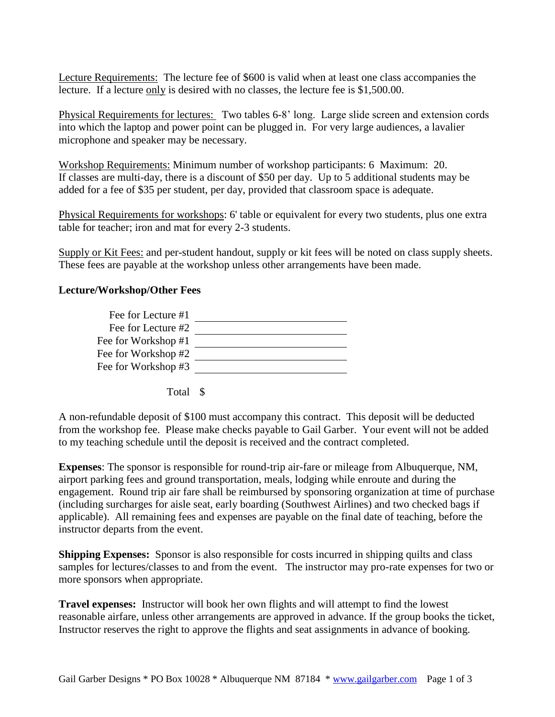Lecture Requirements: The lecture fee of \$600 is valid when at least one class accompanies the lecture. If a lecture only is desired with no classes, the lecture fee is \$1,500.00.

Physical Requirements for lectures: Two tables 6-8' long. Large slide screen and extension cords into which the laptop and power point can be plugged in. For very large audiences, a lavalier microphone and speaker may be necessary.

Workshop Requirements: Minimum number of workshop participants: 6 Maximum: 20. If classes are multi-day, there is a discount of \$50 per day. Up to 5 additional students may be added for a fee of \$35 per student, per day, provided that classroom space is adequate.

Physical Requirements for workshops: 6' table or equivalent for every two students, plus one extra table for teacher; iron and mat for every 2-3 students.

Supply or Kit Fees: and per-student handout, supply or kit fees will be noted on class supply sheets. These fees are payable at the workshop unless other arrangements have been made.

## **Lecture/Workshop/Other Fees**

| Fee for Lecture #1  |  |
|---------------------|--|
| Fee for Lecture #2  |  |
| Fee for Workshop #1 |  |
| Fee for Workshop #2 |  |
| Fee for Workshop #3 |  |

Total \$

A non-refundable deposit of \$100 must accompany this contract. This deposit will be deducted from the workshop fee. Please make checks payable to Gail Garber. Your event will not be added to my teaching schedule until the deposit is received and the contract completed.

**Expenses**: The sponsor is responsible for round-trip air-fare or mileage from Albuquerque, NM, airport parking fees and ground transportation, meals, lodging while enroute and during the engagement. Round trip air fare shall be reimbursed by sponsoring organization at time of purchase (including surcharges for aisle seat, early boarding (Southwest Airlines) and two checked bags if applicable). All remaining fees and expenses are payable on the final date of teaching, before the instructor departs from the event.

**Shipping Expenses:** Sponsor is also responsible for costs incurred in shipping quilts and class samples for lectures/classes to and from the event. The instructor may pro-rate expenses for two or more sponsors when appropriate.

**Travel expenses:** Instructor will book her own flights and will attempt to find the lowest reasonable airfare, unless other arrangements are approved in advance. If the group books the ticket, Instructor reserves the right to approve the flights and seat assignments in advance of booking.